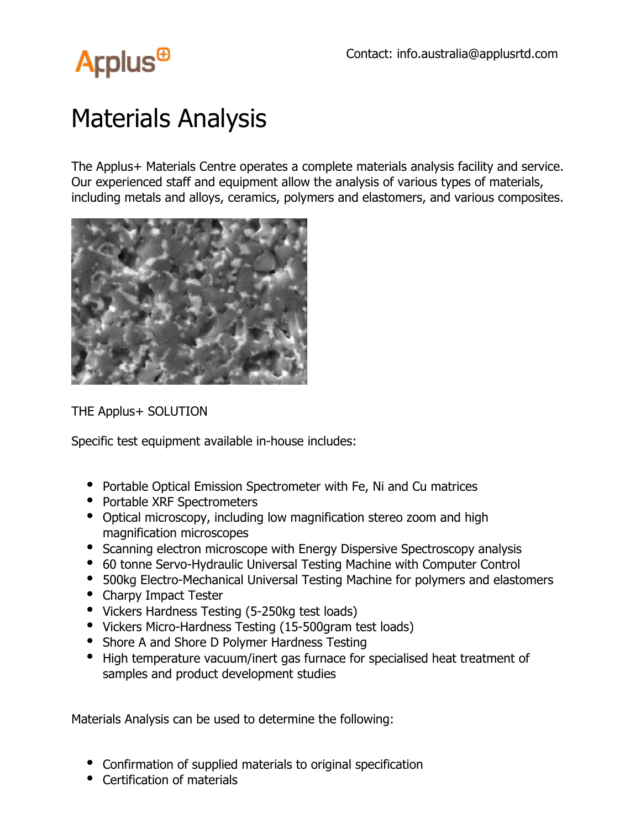

## Materials Analysis

The Applus+ Materials Centre operates a complete materials analysis facility and service. Our experienced staff and equipment allow the analysis of various types of materials, including metals and alloys, ceramics, polymers and elastomers, and various composites.



THE Applus+ SOLUTION

Specific test equipment available in-house includes:

- Portable Optical Emission Spectrometer with Fe, Ni and Cu matrices
- Portable XRF Spectrometers
- Optical microscopy, including low magnification stereo zoom and high magnification microscopes
- Scanning electron microscope with Energy Dispersive Spectroscopy analysis
- 60 tonne Servo-Hydraulic Universal Testing Machine with Computer Control
- 500kg Electro-Mechanical Universal Testing Machine for polymers and elastomers
- Charpy Impact Tester
- Vickers Hardness Testing (5-250kg test loads)
- Vickers Micro-Hardness Testing (15-500gram test loads)
- Shore A and Shore D Polymer Hardness Testing
- High temperature vacuum/inert gas furnace for specialised heat treatment of samples and product development studies

Materials Analysis can be used to determine the following:

- Confirmation of supplied materials to original specification
- Certification of materials